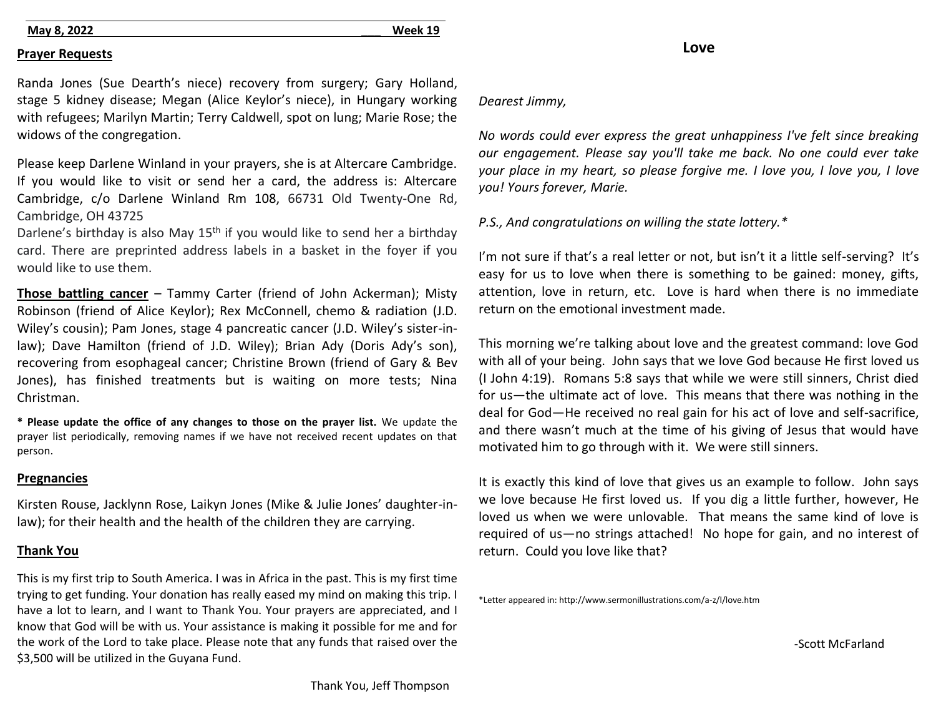## **May 8, 2022 \_\_\_ Week 19**

#### **Prayer Requests**

Randa Jones (Sue Dearth's niece) recovery from surgery; Gary Holland, stage 5 kidney disease; Megan (Alice Keylor's niece), in Hungary working with refugees; Marilyn Martin; Terry Caldwell, spot on lung; Marie Rose; the widows of the congregation.

Please keep Darlene Winland in your prayers, she is at Altercare Cambridge. If you would like to visit or send her a card, the address is: Altercare Cambridge, c/o Darlene Winland Rm 108, 66731 Old Twenty-One Rd, Cambridge, OH 43725

Darlene's birthday is also May 15<sup>th</sup> if you would like to send her a birthday card. There are preprinted address labels in a basket in the foyer if you would like to use them.

**Those battling cancer** – Tammy Carter (friend of John Ackerman); Misty Robinson (friend of Alice Keylor); Rex McConnell, chemo & radiation (J.D. Wiley's cousin); Pam Jones, stage 4 pancreatic cancer (J.D. Wiley's sister-inlaw); Dave Hamilton (friend of J.D. Wiley); Brian Ady (Doris Ady's son), recovering from esophageal cancer; Christine Brown (friend of Gary & Bev Jones), has finished treatments but is waiting on more tests; Nina Christman.

**\* Please update the office of any changes to those on the prayer list.** We update the prayer list periodically, removing names if we have not received recent updates on that person.

#### **Pregnancies**

Kirsten Rouse, Jacklynn Rose, Laikyn Jones (Mike & Julie Jones' daughter-inlaw); for their health and the health of the children they are carrying.

# **Thank You**

This is my first trip to South America. I was in Africa in the past. This is my first time trying to get funding. Your donation has really eased my mind on making this trip. I have a lot to learn, and I want to Thank You. Your prayers are appreciated, and I know that God will be with us. Your assistance is making it possible for me and for the work of the Lord to take place. Please note that any funds that raised over the \$3,500 will be utilized in the Guyana Fund.

#### *Dearest Jimmy,*

*No words could ever express the great unhappiness I've felt since breaking our engagement. Please say you'll take me back. No one could ever take your place in my heart, so please forgive me. I love you, I love you, I love you! Yours forever, Marie.*

## *P.S., And congratulations on willing the state lottery.\**

I'm not sure if that's a real letter or not, but isn't it a little self-serving? It's easy for us to love when there is something to be gained: money, gifts, attention, love in return, etc. Love is hard when there is no immediate return on the emotional investment made.

This morning we're talking about love and the greatest command: love God with all of your being. John says that we love God because He first loved us (I John 4:19). Romans 5:8 says that while we were still sinners, Christ died for us—the ultimate act of love. This means that there was nothing in the deal for God—He received no real gain for his act of love and self-sacrifice, and there wasn't much at the time of his giving of Jesus that would have motivated him to go through with it. We were still sinners.

It is exactly this kind of love that gives us an example to follow. John says we love because He first loved us. If you dig a little further, however, He loved us when we were unlovable. That means the same kind of love is required of us—no strings attached! No hope for gain, and no interest of return. Could you love like that?

\*Letter appeared in: http://www.sermonillustrations.com/a-z/l/love.htm

-Scott McFarland